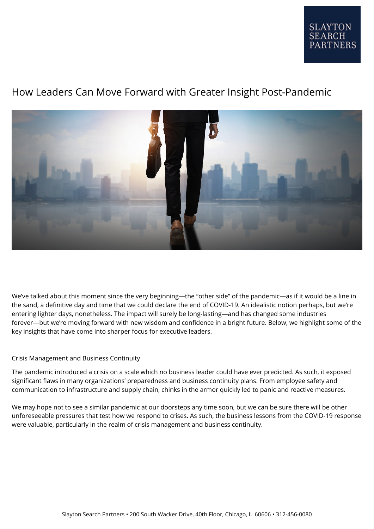## **SLAYTON SEARCH PARTNERS**

# How Leaders Can Move Forward with Greater Insight Post-Pandemic



We've talked about this moment since the very beginning—the "other side" of the pandemic—as if it would be a line in the sand, a definitive day and time that we could declare the end of COVID-19. An idealistic notion perhaps, but we're entering lighter days, nonetheless. The impact will surely be long-lasting—and has changed some industries forever—but we're moving forward with new wisdom and confidence in a bright future. Below, we highlight some of the key insights that have come into sharper focus for executive leaders.

### Crisis Management and Business Continuity

The pandemic introduced a crisis on a scale which no business leader could have ever predicted. As such, it exposed significant flaws in many organizations' preparedness and business continuity plans. From employee safety and communication to infrastructure and supply chain, chinks in the armor quickly led to panic and reactive measures.

We may hope not to see a similar pandemic at our doorsteps any time soon, but we can be sure there will be other unforeseeable pressures that test how we respond to crises. As such, the business lessons from the COVID-19 response were valuable, particularly in the realm of crisis management and business continuity.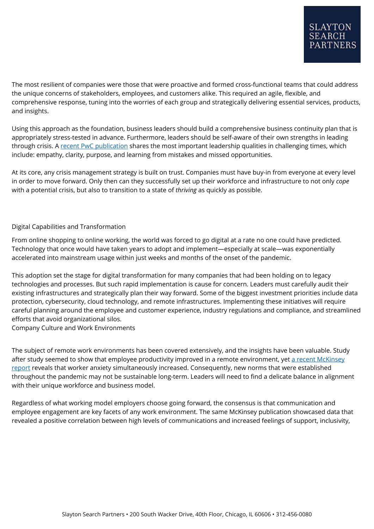The most resilient of companies were those that were proactive and formed cross-functional teams that could address the unique concerns of stakeholders, employees, and customers alike. This required an agile, flexible, and comprehensive response, tuning into the worries of each group and strategically delivering essential services, products, and insights.

Using this approach as the foundation, business leaders should build a comprehensive business continuity plan that is appropriately stress-tested in advance. Furthermore, leaders should be self-aware of their own strengths in leading through crisis. A [recent PwC publication](https://www.pwc.com/gx/en/issues/crisis-solutions/leading-crisis.html) shares the most important leadership qualities in challenging times, which include: empathy, clarity, purpose, and learning from mistakes and missed opportunities.

At its core, any crisis management strategy is built on trust. Companies must have buy-in from everyone at every level in order to move forward. Only then can they successfully set up their workforce and infrastructure to not only *cope* with a potential crisis, but also to transition to a state of *thriving* as quickly as possible.

### Digital Capabilities and Transformation

From online shopping to online working, the world was forced to go digital at a rate no one could have predicted. Technology that once would have taken years to adopt and implement—especially at scale—was exponentially accelerated into mainstream usage within just weeks and months of the onset of the pandemic.

This adoption set the stage for digital transformation for many companies that had been holding on to legacy technologies and processes. But such rapid implementation is cause for concern. Leaders must carefully audit their existing infrastructures and strategically plan their way forward. Some of the biggest investment priorities include data protection, cybersecurity, cloud technology, and remote infrastructures. Implementing these initiatives will require careful planning around the employee and customer experience, industry regulations and compliance, and streamlined efforts that avoid organizational silos.

Company Culture and Work Environments

The subject of remote work environments has been covered extensively, and the insights have been valuable. Study after study seemed to show that employee productivity improved in a remote environment, yet [a recent McKinsey](https://www.mckinsey.com/business-functions/organization/our-insights/what-employees-are-saying-about-the-future-of-remote-work) [report](https://www.mckinsey.com/business-functions/organization/our-insights/what-employees-are-saying-about-the-future-of-remote-work) reveals that worker anxiety simultaneously increased. Consequently, new norms that were established throughout the pandemic may not be sustainable long-term. Leaders will need to find a delicate balance in alignment with their unique workforce and business model.

Regardless of what working model employers choose going forward, the consensus is that communication and employee engagement are key facets of any work environment. The same McKinsey publication showcased data that revealed a positive correlation between high levels of communications and increased feelings of support, inclusivity,